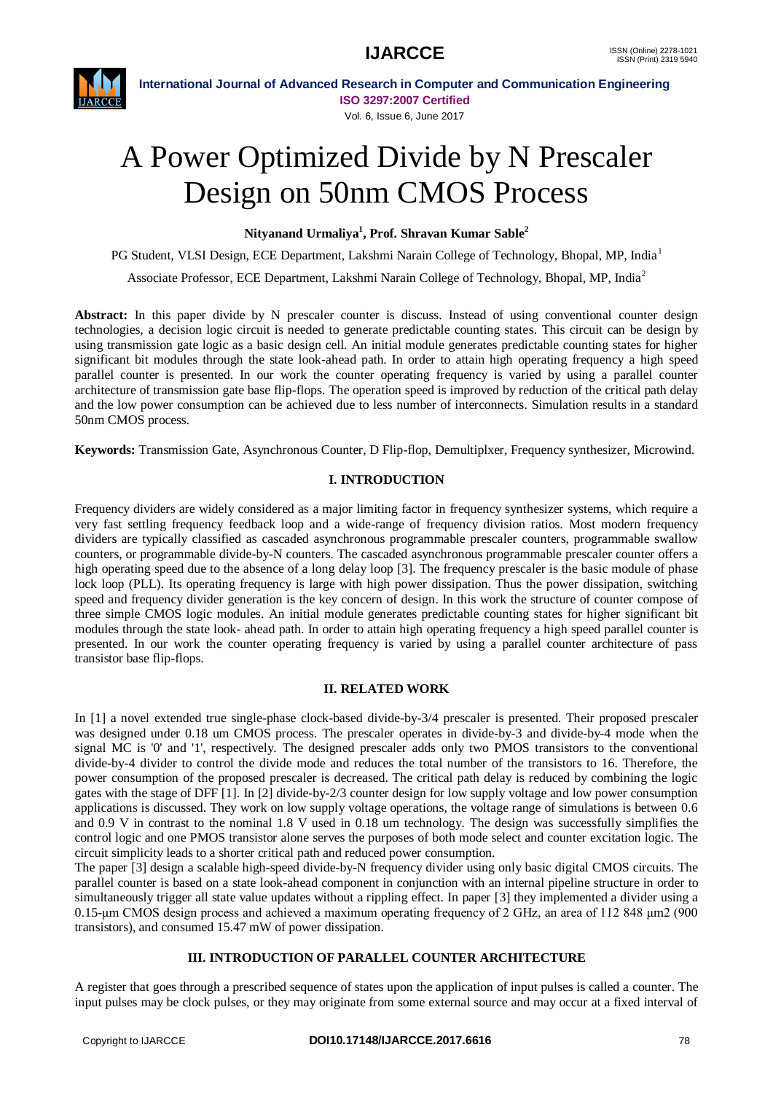

**International Journal of Advanced Research in Computer and Communication Engineering ISO 3297:2007 Certified** Vol. 6, Issue 6, June 2017

# A Power Optimized Divide by N Prescaler Design on 50nm CMOS Process

**Nityanand Urmaliya<sup>1</sup> , Prof. Shravan Kumar Sable<sup>2</sup>**

PG Student, VLSI Design, ECE Department, Lakshmi Narain College of Technology, Bhopal, MP, India<sup>1</sup>

Associate Professor, ECE Department, Lakshmi Narain College of Technology, Bhopal, MP, India<sup>2</sup>

Abstract: In this paper divide by N prescaler counter is discuss. Instead of using conventional counter design technologies, a decision logic circuit is needed to generate predictable counting states. This circuit can be design by using transmission gate logic as a basic design cell. An initial module generates predictable counting states for higher significant bit modules through the state look-ahead path. In order to attain high operating frequency a high speed parallel counter is presented. In our work the counter operating frequency is varied by using a parallel counter architecture of transmission gate base flip-flops. The operation speed is improved by reduction of the critical path delay and the low power consumption can be achieved due to less number of interconnects. Simulation results in a standard 50nm CMOS process.

**Keywords:** Transmission Gate, Asynchronous Counter, D Flip-flop, Demultiplxer, Frequency synthesizer, Microwind.

# **I. INTRODUCTION**

Frequency dividers are widely considered as a major limiting factor in frequency synthesizer systems, which require a very fast settling frequency feedback loop and a wide-range of frequency division ratios. Most modern frequency dividers are typically classified as cascaded asynchronous programmable prescaler counters, programmable swallow counters, or programmable divide-by-N counters. The cascaded asynchronous programmable prescaler counter offers a high operating speed due to the absence of a long delay loop [3]. The frequency prescaler is the basic module of phase lock loop (PLL). Its operating frequency is large with high power dissipation. Thus the power dissipation, switching speed and frequency divider generation is the key concern of design. In this work the structure of counter compose of three simple CMOS logic modules. An initial module generates predictable counting states for higher significant bit modules through the state look- ahead path. In order to attain high operating frequency a high speed parallel counter is presented. In our work the counter operating frequency is varied by using a parallel counter architecture of pass transistor base flip-flops.

# **II. RELATED WORK**

In [1] a novel extended true single-phase clock-based divide-by-3/4 prescaler is presented. Their proposed prescaler was designed under 0.18 um CMOS process. The prescaler operates in divide-by-3 and divide-by-4 mode when the signal MC is '0' and '1', respectively. The designed prescaler adds only two PMOS transistors to the conventional divide-by-4 divider to control the divide mode and reduces the total number of the transistors to 16. Therefore, the power consumption of the proposed prescaler is decreased. The critical path delay is reduced by combining the logic gates with the stage of DFF [1]. In [2] divide-by-2/3 counter design for low supply voltage and low power consumption applications is discussed. They work on low supply voltage operations, the voltage range of simulations is between 0.6 and 0.9 V in contrast to the nominal 1.8 V used in 0.18 um technology. The design was successfully simplifies the control logic and one PMOS transistor alone serves the purposes of both mode select and counter excitation logic. The circuit simplicity leads to a shorter critical path and reduced power consumption.

The paper [3] design a scalable high-speed divide-by-N frequency divider using only basic digital CMOS circuits. The parallel counter is based on a state look-ahead component in conjunction with an internal pipeline structure in order to simultaneously trigger all state value updates without a rippling effect. In paper [3] they implemented a divider using a 0.15-μm CMOS design process and achieved a maximum operating frequency of 2 GHz, an area of 112 848 μm2 (900 transistors), and consumed 15.47 mW of power dissipation.

# **III. INTRODUCTION OF PARALLEL COUNTER ARCHITECTURE**

A register that goes through a prescribed sequence of states upon the application of input pulses is called a counter. The input pulses may be clock pulses, or they may originate from some external source and may occur at a fixed interval of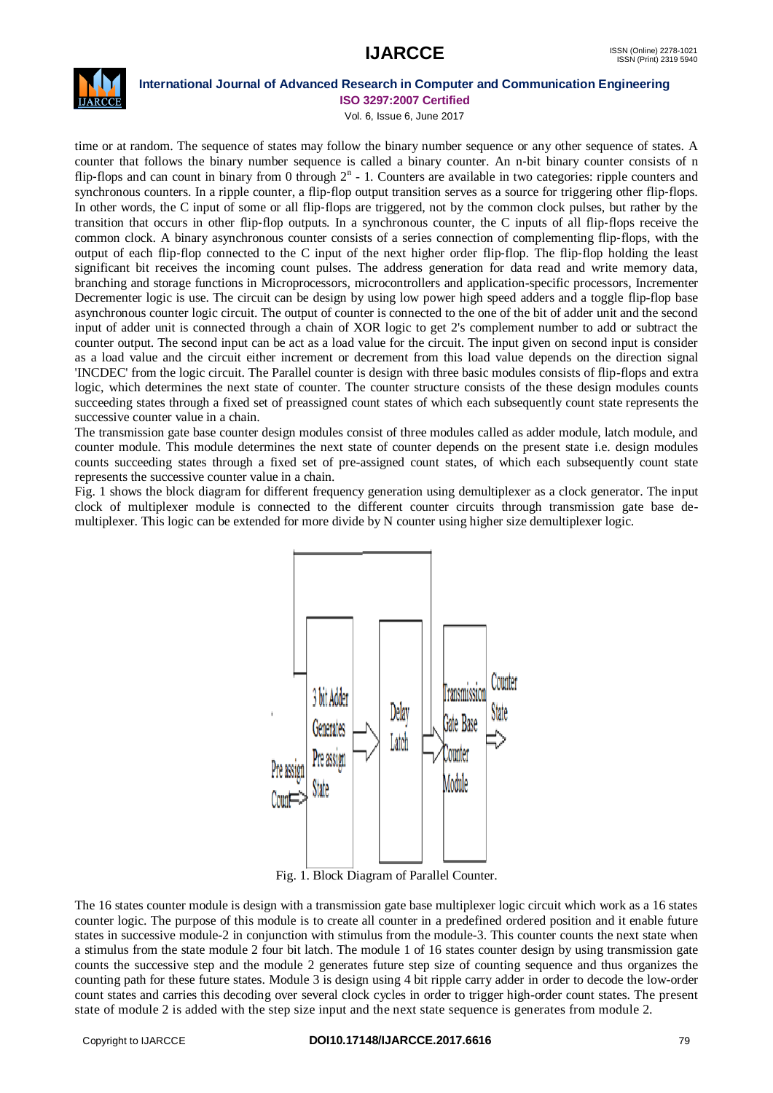# **IJARCCE** ISSN (Online) 2278-1021



# **International Journal of Advanced Research in Computer and Communication Engineering**

**ISO 3297:2007 Certified**

Vol. 6, Issue 6, June 2017

time or at random. The sequence of states may follow the binary number sequence or any other sequence of states. A counter that follows the binary number sequence is called a binary counter. An n‐bit binary counter consists of n flip-flops and can count in binary from 0 through  $2<sup>n</sup>$  - 1. Counters are available in two categories: ripple counters and synchronous counters. In a ripple counter, a flip-flop output transition serves as a source for triggering other flip-flops. In other words, the C input of some or all flip-flops are triggered, not by the common clock pulses, but rather by the transition that occurs in other flip‐flop outputs. In a synchronous counter, the C inputs of all flip‐flops receive the common clock. A binary asynchronous counter consists of a series connection of complementing flip‐flops, with the output of each flip‐flop connected to the C input of the next higher order flip‐flop. The flip‐flop holding the least significant bit receives the incoming count pulses. The address generation for data read and write memory data, branching and storage functions in Microprocessors, microcontrollers and application-specific processors, Incrementer Decrementer logic is use. The circuit can be design by using low power high speed adders and a toggle flip-flop base asynchronous counter logic circuit. The output of counter is connected to the one of the bit of adder unit and the second input of adder unit is connected through a chain of XOR logic to get 2's complement number to add or subtract the counter output. The second input can be act as a load value for the circuit. The input given on second input is consider as a load value and the circuit either increment or decrement from this load value depends on the direction signal 'INCDEC' from the logic circuit. The Parallel counter is design with three basic modules consists of flip-flops and extra logic, which determines the next state of counter. The counter structure consists of the these design modules counts succeeding states through a fixed set of preassigned count states of which each subsequently count state represents the successive counter value in a chain.

The transmission gate base counter design modules consist of three modules called as adder module, latch module, and counter module. This module determines the next state of counter depends on the present state i.e. design modules counts succeeding states through a fixed set of pre-assigned count states, of which each subsequently count state represents the successive counter value in a chain.

Fig. 1 shows the block diagram for different frequency generation using demultiplexer as a clock generator. The input clock of multiplexer module is connected to the different counter circuits through transmission gate base demultiplexer. This logic can be extended for more divide by N counter using higher size demultiplexer logic.



Fig. 1. Block Diagram of Parallel Counter.

The 16 states counter module is design with a transmission gate base multiplexer logic circuit which work as a 16 states counter logic. The purpose of this module is to create all counter in a predefined ordered position and it enable future states in successive module-2 in conjunction with stimulus from the module-3. This counter counts the next state when a stimulus from the state module 2 four bit latch. The module 1 of 16 states counter design by using transmission gate counts the successive step and the module 2 generates future step size of counting sequence and thus organizes the counting path for these future states. Module 3 is design using 4 bit ripple carry adder in order to decode the low-order count states and carries this decoding over several clock cycles in order to trigger high-order count states. The present state of module 2 is added with the step size input and the next state sequence is generates from module 2.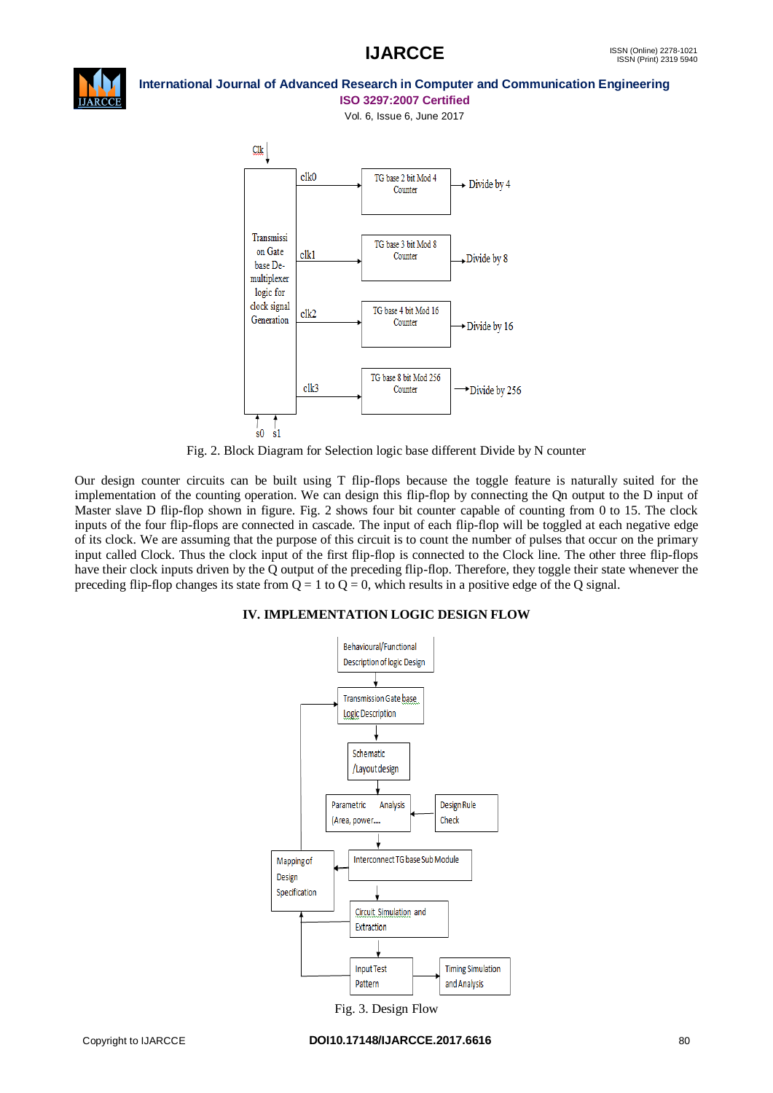

### **International Journal of Advanced Research in Computer and Communication Engineering ISO 3297:2007 Certified**

Vol. 6, Issue 6, June 2017



Fig. 2. Block Diagram for Selection logic base different Divide by N counter

Our design counter circuits can be built using T flip-flops because the toggle feature is naturally suited for the implementation of the counting operation. We can design this flip-flop by connecting the Qn output to the D input of Master slave D flip-flop shown in figure. Fig. 2 shows four bit counter capable of counting from 0 to 15. The clock inputs of the four flip-flops are connected in cascade. The input of each flip-flop will be toggled at each negative edge of its clock. We are assuming that the purpose of this circuit is to count the number of pulses that occur on the primary input called Clock. Thus the clock input of the first flip-flop is connected to the Clock line. The other three flip-flops have their clock inputs driven by the Q output of the preceding flip-flop. Therefore, they toggle their state whenever the preceding flip-flop changes its state from  $Q = 1$  to  $Q = 0$ , which results in a positive edge of the Q signal.

# **IV. IMPLEMENTATION LOGIC DESIGN FLOW**



Fig. 3. Design Flow